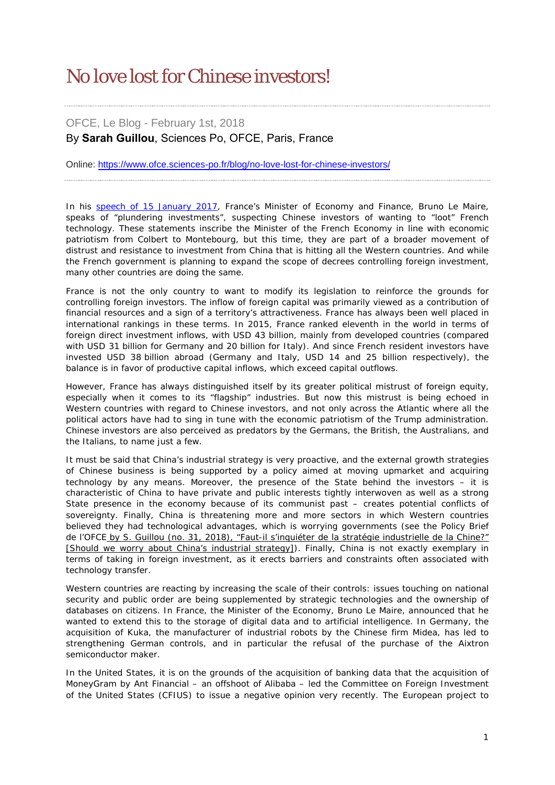## No love lost for Chinese investors!

## OFCE, Le Blog - February 1st, 2018 By **Sarah Guillou**, Sciences Po, OFCE, Paris, France

Online: <https://www.ofce.sciences-po.fr/blog/no-love-lost-for-chinese-investors/>

In his [speech of 15 January 2017,](https://minefi.hosting.augure.com/Augure_Minefi/r/ContenuEnLigne/Download?id=CEF9593C-4F06-414D-9FA3-E229A169AE2D&filename=296%20-%20Discours%20de%20Bruno%20Le%20Maire-voeux%202018.pdf) France's Minister of Economy and Finance, Bruno Le Maire, speaks of "plundering investments", suspecting Chinese investors of wanting to "loot" French technology. These statements inscribe the Minister of the French Economy in line with economic patriotism from Colbert to Montebourg, but this time, they are part of a broader movement of distrust and resistance to investment from China that is hitting all the Western countries. And while the French government is planning to expand the scope of decrees controlling foreign investment, many other countries are doing the same.

France is not the only country to want to modify its legislation to reinforce the grounds for controlling foreign investors. The inflow of foreign capital was primarily viewed as a contribution of financial resources and a sign of a territory's attractiveness. France has always been well placed in international rankings in these terms. In 2015, France ranked eleventh in the world in terms of foreign direct investment inflows, with USD 43 billion, mainly from developed countries (compared with USD 31 billion for Germany and 20 billion for Italy). And since French resident investors have invested USD 38 billion abroad (Germany and Italy, USD 14 and 25 billion respectively), the balance is in favor of productive capital inflows, which exceed capital outflows.

However, France has always distinguished itself by its greater political mistrust of foreign equity, especially when it comes to its "flagship" industries. But now this mistrust is being echoed in Western countries with regard to Chinese investors, and not only across the Atlantic where all the political actors have had to sing in tune with the economic patriotism of the Trump administration. Chinese investors are also perceived as predators by the Germans, the British, the Australians, and the Italians, to name just a few.

It must be said that China's industrial strategy is very proactive, and the external growth strategies of Chinese business is being supported by a policy aimed at moving upmarket and acquiring technology by any means. Moreover, the presence of the State behind the investors – it is characteristic of China to have private and public interests tightly interwoven as well as a strong State presence in the economy because of its communist past – creates potential conflicts of sovereignty. Finally, China is threatening more and more sectors in which Western countries believed they had technological advantages, which is worrying governments (see the *Policy Brief de l'OFCE* by S. Guillou (no. 31, 2018), "Faut-il s'inquiéter de la stratégie industrielle de la Chine?" [Should we worry about China's industrial strategy]). Finally, China is not exactly exemplary in terms of taking in foreign investment, as it erects barriers and constraints often associated with technology transfer.

Western countries are reacting by increasing the scale of their controls: issues touching on national security and public order are being supplemented by strategic technologies and the ownership of databases on citizens. In France, the Minister of the Economy, Bruno Le Maire, announced that he wanted to extend this to the storage of digital data and to artificial intelligence. In Germany, the acquisition of Kuka, the manufacturer of industrial robots by the Chinese firm Midea, has led to strengthening German controls, and in particular the refusal of the purchase of the Aixtron semiconductor maker.

In the United States, it is on the grounds of the acquisition of banking data that the acquisition of MoneyGram by Ant Financial – an offshoot of Alibaba – led the Committee on Foreign Investment of the United States (CFIUS) to issue a negative opinion very recently. The European project to